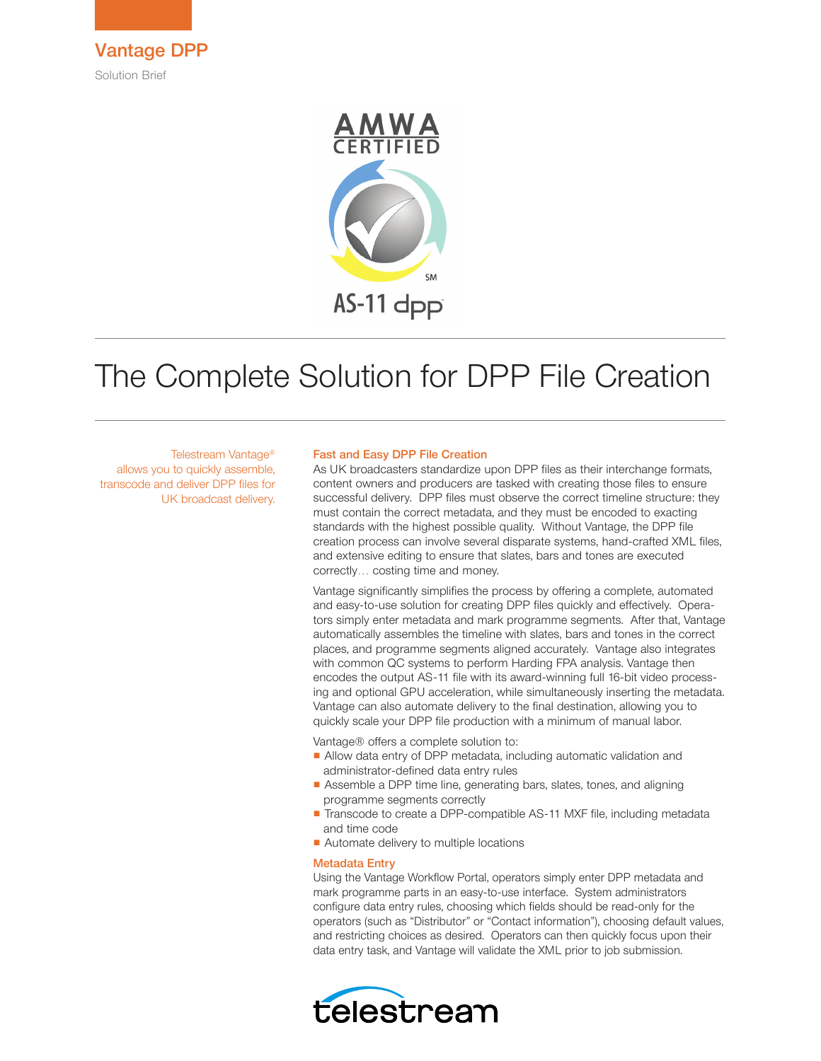



# The Complete Solution for DPP File Creation

Telestream Vantage® allows you to quickly assemble, transcode and deliver DPP files for UK broadcast delivery.

#### Fast and Easy DPP File Creation

As UK broadcasters standardize upon DPP files as their interchange formats, content owners and producers are tasked with creating those files to ensure successful delivery. DPP files must observe the correct timeline structure: they must contain the correct metadata, and they must be encoded to exacting standards with the highest possible quality. Without Vantage, the DPP file creation process can involve several disparate systems, hand-crafted XML files, and extensive editing to ensure that slates, bars and tones are executed correctly… costing time and money.

Vantage significantly simplifies the process by offering a complete, automated and easy-to-use solution for creating DPP files quickly and effectively. Operators simply enter metadata and mark programme segments. After that, Vantage automatically assembles the timeline with slates, bars and tones in the correct places, and programme segments aligned accurately. Vantage also integrates with common QC systems to perform Harding FPA analysis. Vantage then encodes the output AS-11 file with its award-winning full 16-bit video processing and optional GPU acceleration, while simultaneously inserting the metadata. Vantage can also automate delivery to the final destination, allowing you to quickly scale your DPP file production with a minimum of manual labor.

Vantage® offers a complete solution to:

- Allow data entry of DPP metadata, including automatic validation and administrator-defined data entry rules
- Assemble a DPP time line, generating bars, slates, tones, and aligning programme segments correctly
- Transcode to create a DPP-compatible AS-11 MXF file, including metadata and time code
- Automate delivery to multiple locations

#### Metadata Entry

Using the Vantage Workflow Portal, operators simply enter DPP metadata and mark programme parts in an easy-to-use interface. System administrators configure data entry rules, choosing which fields should be read-only for the operators (such as "Distributor" or "Contact information"), choosing default values, and restricting choices as desired. Operators can then quickly focus upon their data entry task, and Vantage will validate the XML prior to job submission.

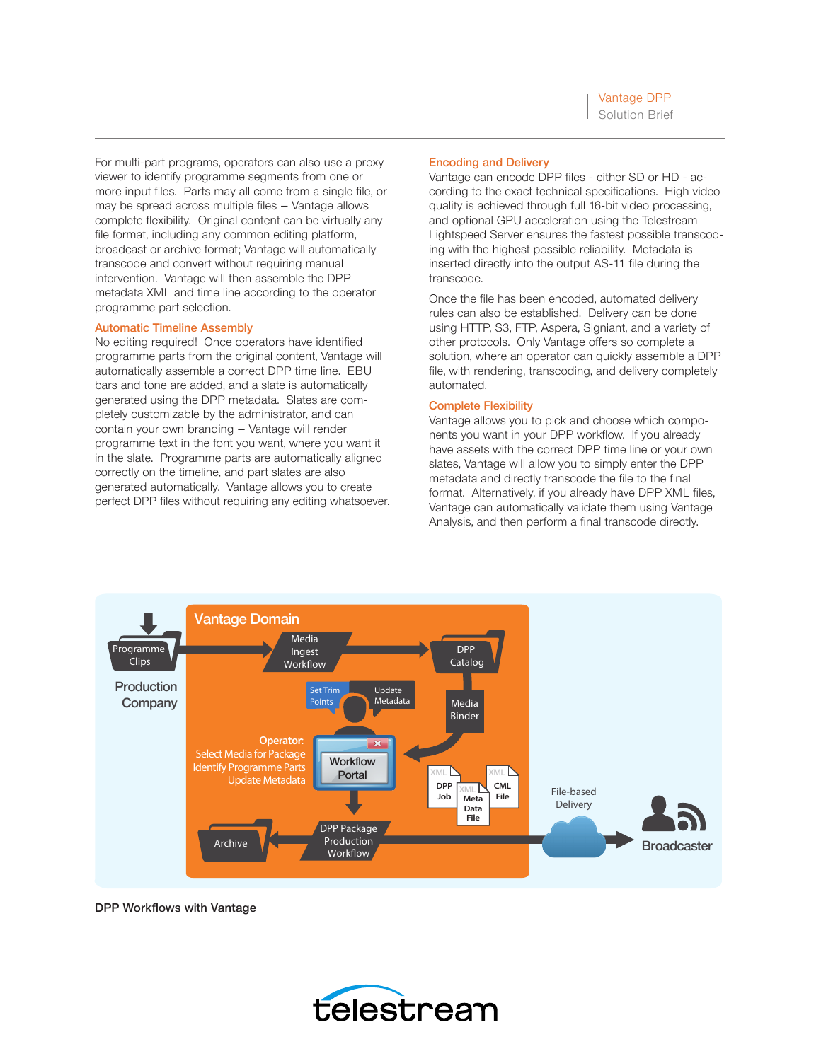For multi-part programs, operators can also use a proxy viewer to identify programme segments from one or more input files. Parts may all come from a single file, or may be spread across multiple files – Vantage allows complete flexibility. Original content can be virtually any file format, including any common editing platform, broadcast or archive format; Vantage will automatically transcode and convert without requiring manual intervention. Vantage will then assemble the DPP metadata XML and time line according to the operator programme part selection.

## Automatic Timeline Assembly

No editing required! Once operators have identified programme parts from the original content, Vantage will automatically assemble a correct DPP time line. EBU bars and tone are added, and a slate is automatically generated using the DPP metadata. Slates are completely customizable by the administrator, and can contain your own branding – Vantage will render programme text in the font you want, where you want it in the slate. Programme parts are automatically aligned correctly on the timeline, and part slates are also generated automatically. Vantage allows you to create perfect DPP files without requiring any editing whatsoever.

## Encoding and Delivery

Vantage can encode DPP files - either SD or HD - according to the exact technical specifications. High video quality is achieved through full 16-bit video processing, and optional GPU acceleration using the Telestream Lightspeed Server ensures the fastest possible transcoding with the highest possible reliability. Metadata is inserted directly into the output AS-11 file during the transcode.

Once the file has been encoded, automated delivery rules can also be established. Delivery can be done using HTTP, S3, FTP, Aspera, Signiant, and a variety of other protocols. Only Vantage offers so complete a solution, where an operator can quickly assemble a DPP file, with rendering, transcoding, and delivery completely automated.

## Complete Flexibility

Vantage allows you to pick and choose which components you want in your DPP workflow. If you already have assets with the correct DPP time line or your own slates, Vantage will allow you to simply enter the DPP metadata and directly transcode the file to the final format. Alternatively, if you already have DPP XML files, Vantage can automatically validate them using Vantage Analysis, and then perform a final transcode directly.



DPP Workflows with Vantage